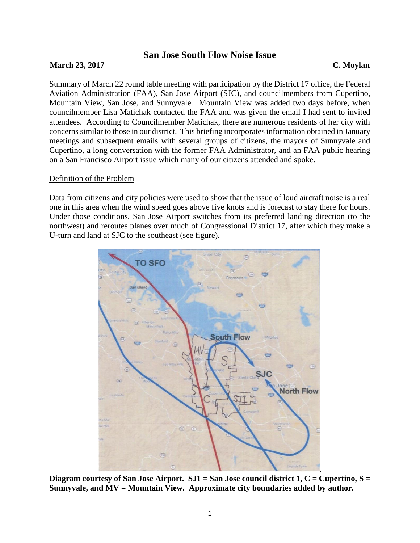# **San Jose South Flow Noise Issue**

## **March 23, 2017** C. Moylan

Summary of March 22 round table meeting with participation by the District 17 office, the Federal Aviation Administration (FAA), San Jose Airport (SJC), and councilmembers from Cupertino, Mountain View, San Jose, and Sunnyvale. Mountain View was added two days before, when councilmember Lisa Matichak contacted the FAA and was given the email I had sent to invited attendees. According to Councilmember Matichak, there are numerous residents of her city with concerns similar to those in our district. This briefing incorporates information obtained in January meetings and subsequent emails with several groups of citizens, the mayors of Sunnyvale and Cupertino, a long conversation with the former FAA Administrator, and an FAA public hearing on a San Francisco Airport issue which many of our citizens attended and spoke.

### Definition of the Problem

Data from citizens and city policies were used to show that the issue of loud aircraft noise is a real one in this area when the wind speed goes above five knots and is forecast to stay there for hours. Under those conditions, San Jose Airport switches from its preferred landing direction (to the northwest) and reroutes planes over much of Congressional District 17, after which they make a U-turn and land at SJC to the southeast (see figure).



**Diagram courtesy of San Jose Airport. SJ1 = San Jose council district 1, C = Cupertino, S = Sunnyvale, and MV = Mountain View. Approximate city boundaries added by author.**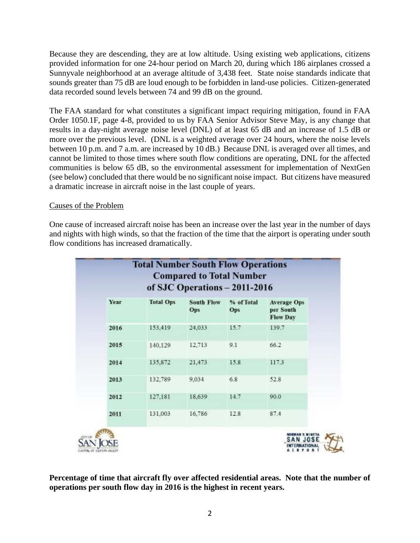Because they are descending, they are at low altitude. Using existing web applications, citizens provided information for one 24-hour period on March 20, during which 186 airplanes crossed a Sunnyvale neighborhood at an average altitude of 3,438 feet. State noise standards indicate that sounds greater than 75 dB are loud enough to be forbidden in land-use policies. Citizen-generated data recorded sound levels between 74 and 99 dB on the ground.

The FAA standard for what constitutes a significant impact requiring mitigation, found in FAA Order 1050.1F, page 4-8, provided to us by FAA Senior Advisor Steve May, is any change that results in a day-night average noise level (DNL) of at least 65 dB and an increase of 1.5 dB or more over the previous level. (DNL is a weighted average over 24 hours, where the noise levels between 10 p.m. and 7 a.m. are increased by 10 dB.) Because DNL is averaged over all times, and cannot be limited to those times where south flow conditions are operating, DNL for the affected communities is below 65 dB, so the environmental assessment for implementation of NextGen (see below) concluded that there would be no significant noise impact. But citizens have measured a dramatic increase in aircraft noise in the last couple of years.

# Causes of the Problem

One cause of increased aircraft noise has been an increase over the last year in the number of days and nights with high winds, so that the fraction of the time that the airport is operating under south flow conditions has increased dramatically.

| of SJC Operations - 2011-2016 |                  |                          |                   |                                                    |
|-------------------------------|------------------|--------------------------|-------------------|----------------------------------------------------|
| Year                          | <b>Total Ops</b> | <b>South Flow</b><br>Ops | % of Total<br>Ops | <b>Average Ops</b><br>per South<br><b>Flow Day</b> |
| 2016                          | 153,419          | 24,033                   | 15.7              | 139.7                                              |
| 2015                          | 140,129          | 12,713                   | 9.1               | 66.2                                               |
| 2014                          | 135,872          | 21,473                   | 15.8              | 117.3                                              |
| 2013                          | 132,789          | 9,034                    | 6.8               | 52.8                                               |
| 2012                          | 127,181          | 18,639                   | 14.7              | 90.0                                               |
| 2011                          | 131,003          | 16,786                   | 12.8              | 87.4                                               |

**Percentage of time that aircraft fly over affected residential areas. Note that the number of operations per south flow day in 2016 is the highest in recent years.**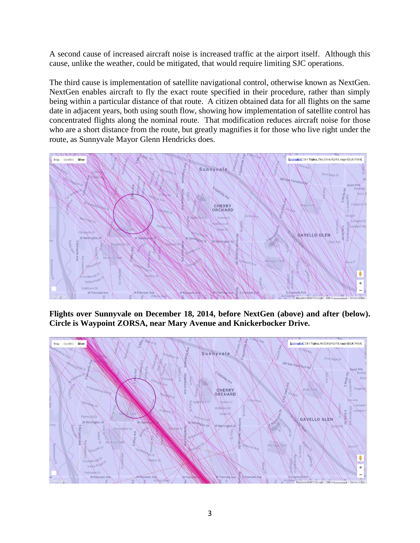A second cause of increased aircraft noise is increased traffic at the airport itself. Although this cause, unlike the weather, could be mitigated, that would require limiting SJC operations.

The third cause is implementation of satellite navigational control, otherwise known as NextGen. NextGen enables aircraft to fly the exact route specified in their procedure, rather than simply being within a particular distance of that route. A citizen obtained data for all flights on the same date in adjacent years, both using south flow, showing how implementation of satellite control has concentrated flights along the nominal route. That modification reduces aircraft noise for those who are a short distance from the route, but greatly magnifies it for those who live right under the route, as Sunnyvale Mayor Glenn Hendricks does.



**Flights over Sunnyvale on December 18, 2014, before NextGen (above) and after (below). Circle is Waypoint ZORSA, near Mary Avenue and Knickerbocker Drive.**

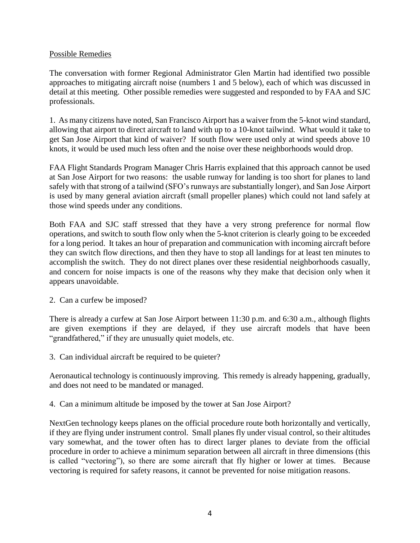# Possible Remedies

The conversation with former Regional Administrator Glen Martin had identified two possible approaches to mitigating aircraft noise (numbers 1 and 5 below), each of which was discussed in detail at this meeting. Other possible remedies were suggested and responded to by FAA and SJC professionals.

1. As many citizens have noted, San Francisco Airport has a waiver from the 5-knot wind standard, allowing that airport to direct aircraft to land with up to a 10-knot tailwind. What would it take to get San Jose Airport that kind of waiver? If south flow were used only at wind speeds above 10 knots, it would be used much less often and the noise over these neighborhoods would drop.

FAA Flight Standards Program Manager Chris Harris explained that this approach cannot be used at San Jose Airport for two reasons: the usable runway for landing is too short for planes to land safely with that strong of a tailwind (SFO's runways are substantially longer), and San Jose Airport is used by many general aviation aircraft (small propeller planes) which could not land safely at those wind speeds under any conditions.

Both FAA and SJC staff stressed that they have a very strong preference for normal flow operations, and switch to south flow only when the 5-knot criterion is clearly going to be exceeded for a long period. It takes an hour of preparation and communication with incoming aircraft before they can switch flow directions, and then they have to stop all landings for at least ten minutes to accomplish the switch. They do not direct planes over these residential neighborhoods casually, and concern for noise impacts is one of the reasons why they make that decision only when it appears unavoidable.

2. Can a curfew be imposed?

There is already a curfew at San Jose Airport between 11:30 p.m. and 6:30 a.m., although flights are given exemptions if they are delayed, if they use aircraft models that have been "grandfathered," if they are unusually quiet models, etc.

3. Can individual aircraft be required to be quieter?

Aeronautical technology is continuously improving. This remedy is already happening, gradually, and does not need to be mandated or managed.

4. Can a minimum altitude be imposed by the tower at San Jose Airport?

NextGen technology keeps planes on the official procedure route both horizontally and vertically, if they are flying under instrument control. Small planes fly under visual control, so their altitudes vary somewhat, and the tower often has to direct larger planes to deviate from the official procedure in order to achieve a minimum separation between all aircraft in three dimensions (this is called "vectoring"), so there are some aircraft that fly higher or lower at times. Because vectoring is required for safety reasons, it cannot be prevented for noise mitigation reasons.